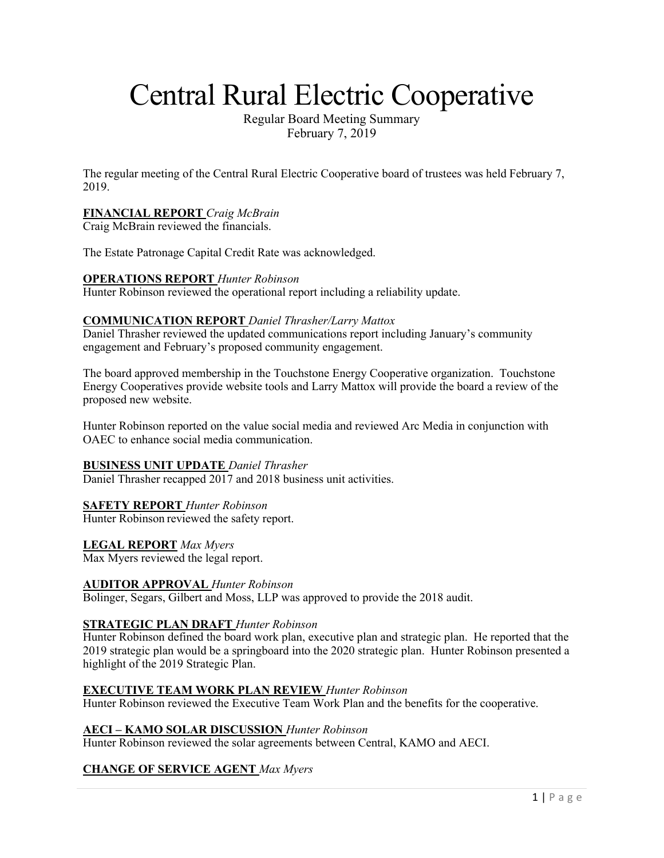# Central Rural Electric Cooperative

Regular Board Meeting Summary February 7, 2019

The regular meeting of the Central Rural Electric Cooperative board of trustees was held February 7, 2019.

## **FINANCIAL REPORT** *Craig McBrain*

Craig McBrain reviewed the financials.

The Estate Patronage Capital Credit Rate was acknowledged.

#### **OPERATIONS REPORT** *Hunter Robinson*

Hunter Robinson reviewed the operational report including a reliability update.

#### **COMMUNICATION REPORT** *Daniel Thrasher/Larry Mattox*

Daniel Thrasher reviewed the updated communications report including January's community engagement and February's proposed community engagement.

The board approved membership in the Touchstone Energy Cooperative organization. Touchstone Energy Cooperatives provide website tools and Larry Mattox will provide the board a review of the proposed new website.

Hunter Robinson reported on the value social media and reviewed Arc Media in conjunction with OAEC to enhance social media communication.

#### **BUSINESS UNIT UPDATE** *Daniel Thrasher*

Daniel Thrasher recapped 2017 and 2018 business unit activities.

## **SAFETY REPORT** *Hunter Robinson*

Hunter Robinson reviewed the safety report.

#### **LEGAL REPORT** *Max Myers*

Max Myers reviewed the legal report.

#### **AUDITOR APPROVAL** *Hunter Robinson*

Bolinger, Segars, Gilbert and Moss, LLP was approved to provide the 2018 audit.

#### **STRATEGIC PLAN DRAFT** *Hunter Robinson*

Hunter Robinson defined the board work plan, executive plan and strategic plan. He reported that the 2019 strategic plan would be a springboard into the 2020 strategic plan. Hunter Robinson presented a highlight of the 2019 Strategic Plan.

#### **EXECUTIVE TEAM WORK PLAN REVIEW** *Hunter Robinson*

Hunter Robinson reviewed the Executive Team Work Plan and the benefits for the cooperative.

#### **AECI – KAMO SOLAR DISCUSSION** *Hunter Robinson*

Hunter Robinson reviewed the solar agreements between Central, KAMO and AECI.

## **CHANGE OF SERVICE AGENT** *Max Myers*